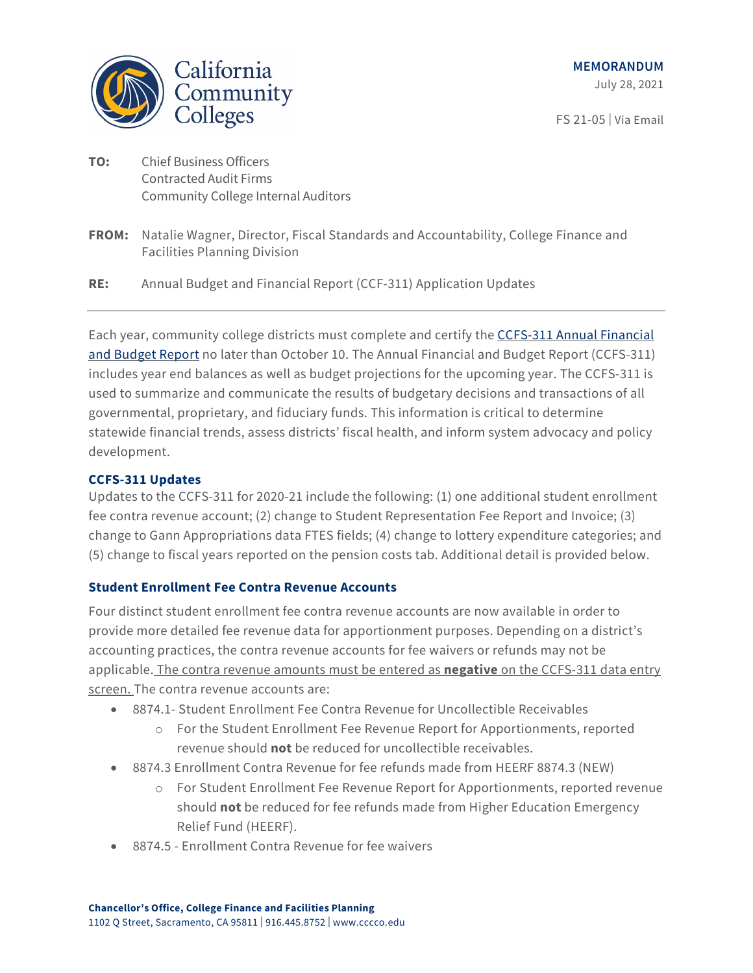

FS 21-05 | Via Email

- **TO:** Chief Business Officers Contracted Audit Firms Community College Internal Auditors
- **FROM:** Natalie Wagner, Director, Fiscal Standards and Accountability, College Finance and Facilities Planning Division

**RE:** Annual Budget and Financial Report (CCF-311) Application Updates

Each year, community college districts must complete and certify th[e CCFS-311 Annual Financial](https://misweb.cccco.edu/FiscalPortal/cc311/)  [and Budget Report](https://misweb.cccco.edu/FiscalPortal/cc311/) no later than October 10. The Annual Financial and Budget Report (CCFS-311) includes year end balances as well as budget projections for the upcoming year. The CCFS-311 is used to summarize and communicate the results of budgetary decisions and transactions of all governmental, proprietary, and fiduciary funds. This information is critical to determine statewide financial trends, assess districts' fiscal health, and inform system advocacy and policy development.

## **CCFS-311 Updates**

Updates to the CCFS-311 for 2020-21 include the following: (1) one additional student enrollment fee contra revenue account; (2) change to Student Representation Fee Report and Invoice; (3) change to Gann Appropriations data FTES fields; (4) change to lottery expenditure categories; and (5) change to fiscal years reported on the pension costs tab. Additional detail is provided below.

## **Student Enrollment Fee Contra Revenue Accounts**

Four distinct student enrollment fee contra revenue accounts are now available in order to provide more detailed fee revenue data for apportionment purposes. Depending on a district's accounting practices, the contra revenue accounts for fee waivers or refunds may not be applicable. The contra revenue amounts must be entered as **negative** on the CCFS-311 data entry screen. The contra revenue accounts are:

- 8874.1- Student Enrollment Fee Contra Revenue for Uncollectible Receivables
	- o For the Student Enrollment Fee Revenue Report for Apportionments, reported revenue should **not** be reduced for uncollectible receivables.
- 8874.3 Enrollment Contra Revenue for fee refunds made from HEERF 8874.3 (NEW)
	- o For Student Enrollment Fee Revenue Report for Apportionments, reported revenue should **not** be reduced for fee refunds made from Higher Education Emergency Relief Fund (HEERF).
- 8874.5 Enrollment Contra Revenue for fee waivers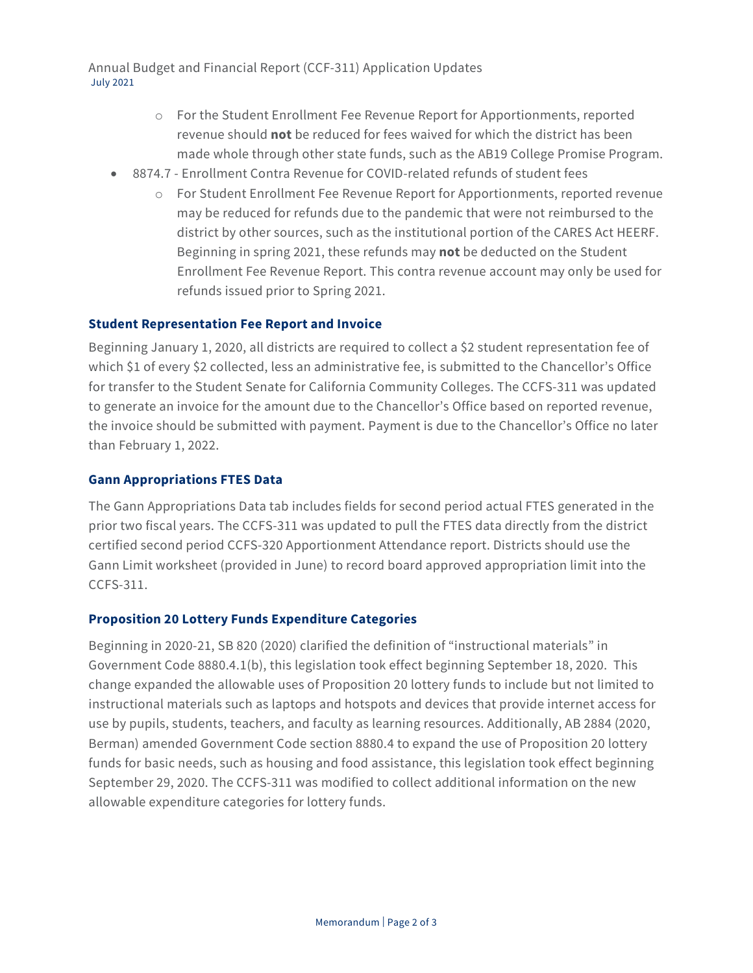Annual Budget and Financial Report (CCF-311) Application Updates July 2021

- o For the Student Enrollment Fee Revenue Report for Apportionments, reported revenue should **not** be reduced for fees waived for which the district has been made whole through other state funds, such as the AB19 College Promise Program.
- 8874.7 Enrollment Contra Revenue for COVID-related refunds of student fees
	- o For Student Enrollment Fee Revenue Report for Apportionments, reported revenue may be reduced for refunds due to the pandemic that were not reimbursed to the district by other sources, such as the institutional portion of the CARES Act HEERF. Beginning in spring 2021, these refunds may **not** be deducted on the Student Enrollment Fee Revenue Report. This contra revenue account may only be used for refunds issued prior to Spring 2021.

## **Student Representation Fee Report and Invoice**

Beginning January 1, 2020, all districts are required to collect a \$2 student representation fee of which \$1 of every \$2 collected, less an administrative fee, is submitted to the Chancellor's Office for transfer to the Student Senate for California Community Colleges. The CCFS-311 was updated to generate an invoice for the amount due to the Chancellor's Office based on reported revenue, the invoice should be submitted with payment. Payment is due to the Chancellor's Office no later than February 1, 2022.

### **Gann Appropriations FTES Data**

The Gann Appropriations Data tab includes fields for second period actual FTES generated in the prior two fiscal years. The CCFS-311 was updated to pull the FTES data directly from the district certified second period CCFS-320 Apportionment Attendance report. Districts should use the Gann Limit worksheet (provided in June) to record board approved appropriation limit into the CCFS-311.

#### **Proposition 20 Lottery Funds Expenditure Categories**

Beginning in 2020-21, SB 820 (2020) clarified the definition of "instructional materials" in Government Code 8880.4.1(b), this legislation took effect beginning September 18, 2020. This change expanded the allowable uses of Proposition 20 lottery funds to include but not limited to instructional materials such as laptops and hotspots and devices that provide internet access for use by pupils, students, teachers, and faculty as learning resources. Additionally, AB 2884 (2020, Berman) amended Government Code section 8880.4 to expand the use of Proposition 20 lottery funds for basic needs, such as housing and food assistance, this legislation took effect beginning September 29, 2020. The CCFS-311 was modified to collect additional information on the new allowable expenditure categories for lottery funds.